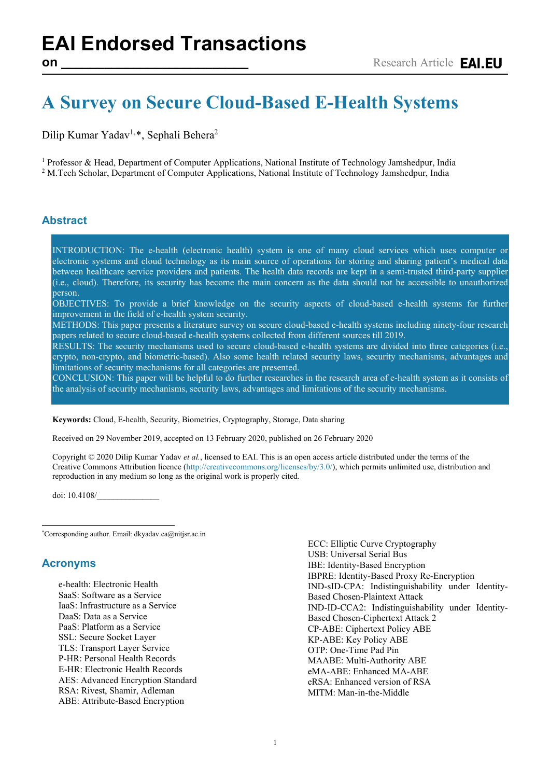# **A Survey on Secure Cloud-Based E-Health Systems**

Dilip Kumar Yadav<sup>1,[\\*](#page-0-0)</sup>, Sephali Behera<sup>2</sup>

<sup>1</sup> Professor & Head, Department of Computer Applications, National Institute of Technology Jamshedpur, India <sup>2</sup> M.Tech Scholar, Department of Computer Applications, National Institute of Technology Jamshedpur, India

### **Abstract**

INTRODUCTION: The e-health (electronic health) system is one of many cloud services which uses computer or electronic systems and cloud technology as its main source of operations for storing and sharing patient's medical data between healthcare service providers and patients. The health data records are kept in a semi-trusted third-party supplier (i.e., cloud). Therefore, its security has become the main concern as the data should not be accessible to unauthorized person.

OBJECTIVES: To provide a brief knowledge on the security aspects of cloud-based e-health systems for further improvement in the field of e-health system security.

METHODS: This paper presents a literature survey on secure cloud-based e-health systems including ninety-four research papers related to secure cloud-based e-health systems collected from different sources till 2019.

RESULTS: The security mechanisms used to secure cloud-based e-health systems are divided into three categories (i.e., crypto, non-crypto, and biometric-based). Also some health related security laws, security mechanisms, advantages and limitations of security mechanisms for all categories are presented.

CONCLUSION: This paper will be helpful to do further researches in the research area of e-health system as it consists of the analysis of security mechanisms, security laws, advantages and limitations of the security mechanisms.

**Keywords:** Cloud, E-health, Security, Biometrics, Cryptography, Storage, Data sharing

Received on 29 November 2019, accepted on 13 February 2020, published on 26 February 2020

Copyright © 2020 Dilip Kumar Yadav *et al.*, licensed to EAI. This is an open access article distributed under the terms of the Creative Commons Attribution licence [\(http://creativecommons.org/licenses/by/3.0/\)](http://creativecommons.org/licenses/by/3.0/), which permits unlimited use, distribution and reproduction in any medium so long as the original work is properly cited.

doi: 10.4108/\_\_\_\_\_\_\_\_\_\_\_\_\_\_\_

<span id="page-0-0"></span>\* Corresponding author. Email: dkyadav.ca@nitjsr.ac.in

#### **Acronyms**

e-health: Electronic Health SaaS: Software as a Service IaaS: Infrastructure as a Service DaaS: Data as a Service PaaS: Platform as a Service SSL: Secure Socket Layer TLS: Transport Layer Service P-HR: Personal Health Records E-HR: Electronic Health Records AES: Advanced Encryption Standard RSA: Rivest, Shamir, Adleman ABE: Attribute-Based Encryption



ECC: Elliptic Curve Cryptography USB: Universal Serial Bus IBE: Identity-Based Encryption IBPRE: Identity-Based Proxy Re-Encryption IND-sID-CPA: Indistinguishability under Identity-Based Chosen-Plaintext Attack IND-ID-CCA2: Indistinguishability under Identity-Based Chosen-Ciphertext Attack 2 CP-ABE: Ciphertext Policy ABE KP-ABE: Key Policy ABE OTP: One-Time Pad Pin MAABE: Multi-Authority ABE eMA-ABE: Enhanced MA-ABE eRSA: Enhanced version of RSA MITM: Man-in-the-Middle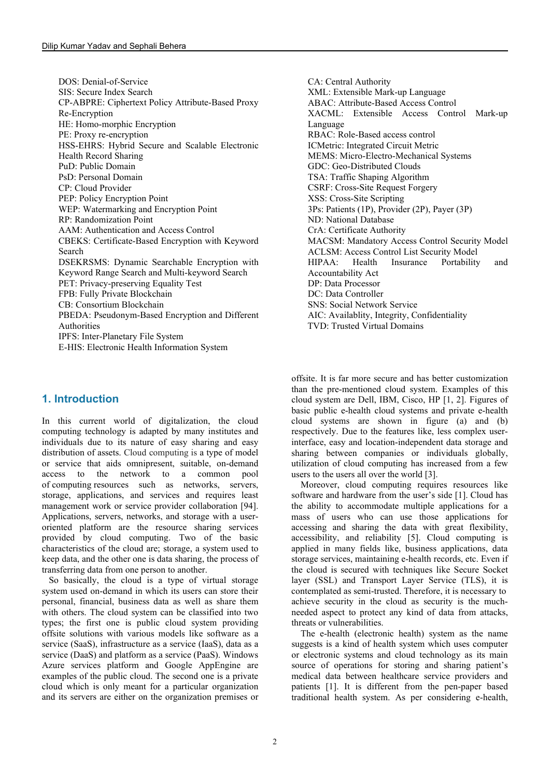DOS: Denial-of-Service SIS: Secure Index Search CP-ABPRE: Ciphertext Policy Attribute-Based Proxy Re-Encryption HE: Homo-morphic Encryption PE: Proxy re-encryption HSS-EHRS: Hybrid Secure and Scalable Electronic Health Record Sharing PuD: Public Domain PsD: Personal Domain CP: Cloud Provider PEP: Policy Encryption Point WEP: Watermarking and Encryption Point RP: Randomization Point AAM: Authentication and Access Control CBEKS: Certificate-Based Encryption with Keyword Search DSEKRSMS: Dynamic Searchable Encryption with Keyword Range Search and Multi-keyword Search PET: Privacy-preserving Equality Test FPB: Fully Private Blockchain CB: Consortium Blockchain PBEDA: Pseudonym-Based Encryption and Different Authorities IPFS: Inter-Planetary File System E-HIS: Electronic Health Information System

## **1. Introduction**

In this current world of digitalization, the cloud computing technology is adapted by many institutes and individuals due to its nature of easy sharing and easy distribution of assets. Cloud computing is a type of model or service that aids omnipresent, suitable, on-demand access to the network to a common pool of computing resources such as networks, servers, storage, applications, and services and requires least management work or service provider collaboration [94]. Applications, servers, networks, and storage with a useroriented platform are the resource sharing services provided by cloud computing. Two of the basic characteristics of the cloud are; storage, a system used to keep data, and the other one is data sharing, the process of transferring data from one person to another.

 So basically, the cloud is a type of virtual storage system used on-demand in which its users can store their personal, financial, business data as well as share them with others. The cloud system can be classified into two types; the first one is public cloud system providing offsite solutions with various models like software as a service (SaaS), infrastructure as a service (IaaS), data as a service (DaaS) and platform as a service (PaaS). Windows Azure services platform and Google AppEngine are examples of the public cloud. The second one is a private cloud which is only meant for a particular organization and its servers are either on the organization premises or CA: Central Authority XML: Extensible Mark-up Language ABAC: Attribute-Based Access Control XACML: Extensible Access Control Mark-up Language RBAC: Role-Based access control ICMetric: Integrated Circuit Metric MEMS: Micro-Electro-Mechanical Systems GDC: Geo-Distributed Clouds TSA: Traffic Shaping Algorithm CSRF: Cross-Site Request Forgery XSS: Cross-Site Scripting 3Ps: Patients (1P), Provider (2P), Payer (3P) ND: National Database CrA: Certificate Authority MACSM: Mandatory Access Control Security Model ACLSM: Access Control List Security Model HIPAA: Health Insurance Portability and Accountability Act DP: Data Processor DC: Data Controller SNS: Social Network Service AIC: Availablity, Integrity, Confidentiality TVD: Trusted Virtual Domains

offsite. It is far more secure and has better customization than the pre-mentioned cloud system. Examples of this cloud system are Dell, IBM, Cisco, HP [1, 2]. Figures of basic public e-health cloud systems and private e-health cloud systems are shown in figure (a) and (b) respectively. Due to the features like, less complex userinterface, easy and location-independent data storage and sharing between companies or individuals globally, utilization of cloud computing has increased from a few users to the users all over the world [3].

 Moreover, cloud computing requires resources like software and hardware from the user's side [1]. Cloud has the ability to accommodate multiple applications for a mass of users who can use those applications for accessing and sharing the data with great flexibility, accessibility, and reliability [5]. Cloud computing is applied in many fields like, business applications, data storage services, maintaining e-health records, etc. Even if the cloud is secured with techniques like Secure Socket layer (SSL) and Transport Layer Service (TLS), it is contemplated as semi-trusted. Therefore, it is necessary to achieve security in the cloud as security is the muchneeded aspect to protect any kind of data from attacks, threats or vulnerabilities.

 The e-health (electronic health) system as the name suggests is a kind of health system which uses computer or electronic systems and cloud technology as its main source of operations for storing and sharing patient's medical data between healthcare service providers and patients [1]. It is different from the pen-paper based traditional health system. As per considering e-health,

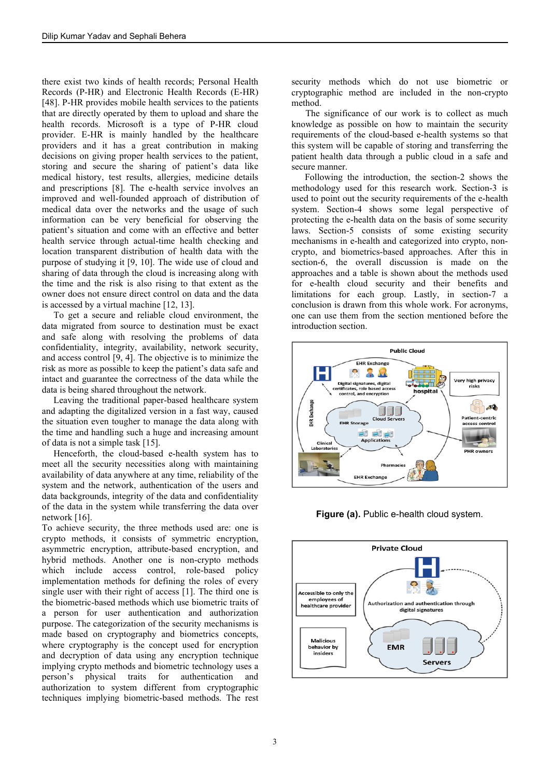there exist two kinds of health records; Personal Health Records (P-HR) and Electronic Health Records (E-HR) [48]. P-HR provides mobile health services to the patients that are directly operated by them to upload and share the health records. Microsoft is a type of P-HR cloud provider. E-HR is mainly handled by the healthcare providers and it has a great contribution in making decisions on giving proper health services to the patient, storing and secure the sharing of patient's data like medical history, test results, allergies, medicine details and prescriptions [8]. The e-health service involves an improved and well-founded approach of distribution of medical data over the networks and the usage of such information can be very beneficial for observing the patient's situation and come with an effective and better health service through actual-time health checking and location transparent distribution of health data with the purpose of studying it [9, 10]. The wide use of cloud and sharing of data through the cloud is increasing along with the time and the risk is also rising to that extent as the owner does not ensure direct control on data and the data is accessed by a virtual machine [12, 13].

 To get a secure and reliable cloud environment, the data migrated from source to destination must be exact and safe along with resolving the problems of data confidentiality, integrity, availability, network security, and access control [9, 4]. The objective is to minimize the risk as more as possible to keep the patient's data safe and intact and guarantee the correctness of the data while the data is being shared throughout the network.

 Leaving the traditional paper-based healthcare system and adapting the digitalized version in a fast way, caused the situation even tougher to manage the data along with the time and handling such a huge and increasing amount of data is not a simple task [15].

 Henceforth, the cloud-based e-health system has to meet all the security necessities along with maintaining availability of data anywhere at any time, reliability of the system and the network, authentication of the users and data backgrounds, integrity of the data and confidentiality of the data in the system while transferring the data over network [16].

To achieve security, the three methods used are: one is crypto methods, it consists of symmetric encryption, asymmetric encryption, attribute-based encryption, and hybrid methods. Another one is non-crypto methods which include access control, role-based policy implementation methods for defining the roles of every single user with their right of access [1]. The third one is the biometric-based methods which use biometric traits of a person for user authentication and authorization purpose. The categorization of the security mechanisms is made based on cryptography and biometrics concepts, where cryptography is the concept used for encryption and decryption of data using any encryption technique implying crypto methods and biometric technology uses a person's physical traits for authentication and authorization to system different from cryptographic techniques implying biometric-based methods. The rest

security methods which do not use biometric or cryptographic method are included in the non-crypto method.

 The significance of our work is to collect as much knowledge as possible on how to maintain the security requirements of the cloud-based e-health systems so that this system will be capable of storing and transferring the patient health data through a public cloud in a safe and secure manner.

Following the introduction, the section-2 shows the methodology used for this research work. Section-3 is used to point out the security requirements of the e-health system. Section-4 shows some legal perspective of protecting the e-health data on the basis of some security laws. Section-5 consists of some existing security mechanisms in e-health and categorized into crypto, noncrypto, and biometrics-based approaches. After this in section-6, the overall discussion is made on the approaches and a table is shown about the methods used for e-health cloud security and their benefits and limitations for each group. Lastly, in section-7 a conclusion is drawn from this whole work. For acronyms, one can use them from the section mentioned before the introduction section.



**Figure (a).** Public e-health cloud system.



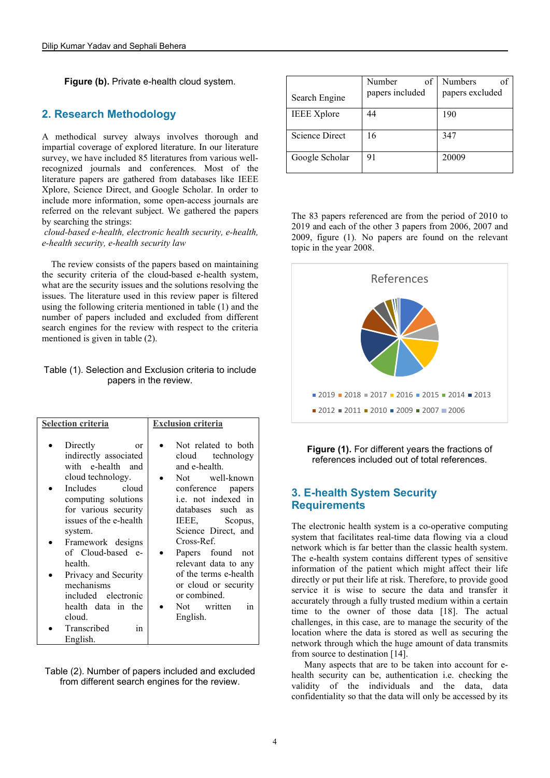**Figure (b).** Private e-health cloud system.

#### **2. Research Methodology**

A methodical survey always involves thorough and impartial coverage of explored literature. In our literature survey, we have included 85 literatures from various wellrecognized journals and conferences. Most of the literature papers are gathered from databases like IEEE Xplore, Science Direct, and Google Scholar. In order to include more information, some open-access journals are referred on the relevant subject. We gathered the papers by searching the strings:

*cloud-based e-health, electronic health security, e-health, e-health security, e-health security law* 

 The review consists of the papers based on maintaining the security criteria of the cloud-based e-health system, what are the security issues and the solutions resolving the issues. The literature used in this review paper is filtered using the following criteria mentioned in table (1) and the number of papers included and excluded from different search engines for the review with respect to the criteria mentioned is given in table (2).

Table (1). Selection and Exclusion criteria to include papers in the review.

| <b>Selection criteria</b>                                                                                                                                                                                                                                                                                                                                         | <b>Exclusion criteria</b>                                                                                                                                                                                                                                                                                                                                    |
|-------------------------------------------------------------------------------------------------------------------------------------------------------------------------------------------------------------------------------------------------------------------------------------------------------------------------------------------------------------------|--------------------------------------------------------------------------------------------------------------------------------------------------------------------------------------------------------------------------------------------------------------------------------------------------------------------------------------------------------------|
| Directly<br>or<br>indirectly associated<br>with e-health and<br>cloud technology.<br>Includes<br>cloud<br>computing solutions<br>for various security<br>issues of the e-health<br>system.<br>Framework designs<br>of Cloud-based e-<br>health.<br>Privacy and Security<br>mechanisms<br>included electronic<br>health data in the<br>cloud.<br>Transcribed<br>in | Not related to both<br>cloud technology<br>and e-health.<br>Not well-known<br>conference papers<br>i.e. not indexed in<br>databases such<br><b>as</b><br>IEEE, Scopus,<br>Science Direct, and<br>Cross-Ref.<br>Papers found<br>not<br>relevant data to any<br>of the terms e-health<br>or cloud or security<br>or combined.<br>Not written<br>1n<br>English. |
| English.                                                                                                                                                                                                                                                                                                                                                          |                                                                                                                                                                                                                                                                                                                                                              |

Table (2). Number of papers included and excluded from different search engines for the review.

| Search Engine         | Number<br>of<br>papers included | Numbers<br>papers excluded |
|-----------------------|---------------------------------|----------------------------|
| <b>IEEE Xplore</b>    | 44                              | 190                        |
| <b>Science Direct</b> | 16                              | 347                        |
| Google Scholar        | 91                              | 20009                      |

The 83 papers referenced are from the period of 2010 to 2019 and each of the other 3 papers from 2006, 2007 and 2009, figure (1). No papers are found on the relevant topic in the year 2008.



**Figure (1).** For different years the fractions of references included out of total references.

#### **3. E-health System Security Requirements**

The electronic health system is a co-operative computing system that facilitates real-time data flowing via a cloud network which is far better than the classic health system. The e-health system contains different types of sensitive information of the patient which might affect their life directly or put their life at risk. Therefore, to provide good service it is wise to secure the data and transfer it accurately through a fully trusted medium within a certain time to the owner of those data [18]. The actual challenges, in this case, are to manage the security of the location where the data is stored as well as securing the network through which the huge amount of data transmits from source to destination [14].

Many aspects that are to be taken into account for ehealth security can be, authentication i.e. checking the validity of the individuals and the data, data confidentiality so that the data will only be accessed by its

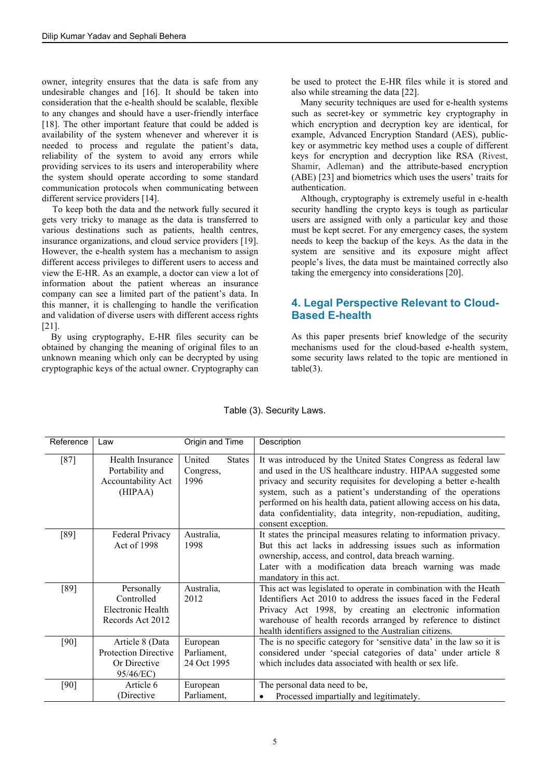owner, integrity ensures that the data is safe from any undesirable changes and [16]. It should be taken into consideration that the e-health should be scalable, flexible to any changes and should have a user-friendly interface [18]. The other important feature that could be added is availability of the system whenever and wherever it is needed to process and regulate the patient's data, reliability of the system to avoid any errors while providing services to its users and interoperability where the system should operate according to some standard communication protocols when communicating between different service providers [14].

To keep both the data and the network fully secured it gets very tricky to manage as the data is transferred to various destinations such as patients, health centres, insurance organizations, and cloud service providers [19]. However, the e-health system has a mechanism to assign different access privileges to different users to access and view the E-HR. As an example, a doctor can view a lot of information about the patient whereas an insurance company can see a limited part of the patient's data. In this manner, it is challenging to handle the verification and validation of diverse users with different access rights [21].

 By using cryptography, E-HR files security can be obtained by changing the meaning of original files to an unknown meaning which only can be decrypted by using cryptographic keys of the actual owner. Cryptography can be used to protect the E-HR files while it is stored and also while streaming the data [22].

 Many security techniques are used for e-health systems such as secret-key or symmetric key cryptography in which encryption and decryption key are identical, for example, Advanced Encryption Standard (AES), publickey or asymmetric key method uses a couple of different keys for encryption and decryption like RSA (Rivest, Shamir, Adleman) and the attribute-based encryption (ABE) [23] and biometrics which uses the users' traits for authentication.

 Although, cryptography is extremely useful in e-health security handling the crypto keys is tough as particular users are assigned with only a particular key and those must be kept secret. For any emergency cases, the system needs to keep the backup of the keys. As the data in the system are sensitive and its exposure might affect people's lives, the data must be maintained correctly also taking the emergency into considerations [20].

#### **4. Legal Perspective Relevant to Cloud-Based E-health**

As this paper presents brief knowledge of the security mechanisms used for the cloud-based e-health system, some security laws related to the topic are mentioned in  $table(3)$ .

| Reference | Law                                                                         | Origin and Time                              | Description                                                                                                                                                                                                                                                                                                                                                                                                                       |
|-----------|-----------------------------------------------------------------------------|----------------------------------------------|-----------------------------------------------------------------------------------------------------------------------------------------------------------------------------------------------------------------------------------------------------------------------------------------------------------------------------------------------------------------------------------------------------------------------------------|
| [87]      | Health Insurance<br>Portability and<br>Accountability Act<br>(HIPAA)        | United<br><b>States</b><br>Congress,<br>1996 | It was introduced by the United States Congress as federal law<br>and used in the US healthcare industry. HIPAA suggested some<br>privacy and security requisites for developing a better e-health<br>system, such as a patient's understanding of the operations<br>performed on his health data, patient allowing access on his data,<br>data confidentiality, data integrity, non-repudiation, auditing,<br>consent exception. |
| [89]      | Federal Privacy<br>Act of 1998                                              | Australia,<br>1998                           | It states the principal measures relating to information privacy.<br>But this act lacks in addressing issues such as information<br>ownership, access, and control, data breach warning.<br>Later with a modification data breach warning was made<br>mandatory in this act.                                                                                                                                                      |
| [89]      | Personally<br>Controlled<br>Electronic Health<br>Records Act 2012           | Australia,<br>2012                           | This act was legislated to operate in combination with the Heath<br>Identifiers Act 2010 to address the issues faced in the Federal<br>Privacy Act 1998, by creating an electronic information<br>warehouse of health records arranged by reference to distinct<br>health identifiers assigned to the Australian citizens.                                                                                                        |
| [90]      | Article 8 (Data<br><b>Protection Directive</b><br>Or Directive<br>95/46/EC) | European<br>Parliament,<br>24 Oct 1995       | The is no specific category for 'sensitive data' in the law so it is<br>considered under 'special categories of data' under article 8<br>which includes data associated with health or sex life.                                                                                                                                                                                                                                  |
| [90]      | Article 6<br>(Directive)                                                    | European<br>Parliament,                      | The personal data need to be,<br>Processed impartially and legitimately.                                                                                                                                                                                                                                                                                                                                                          |

#### Table (3). Security Laws.